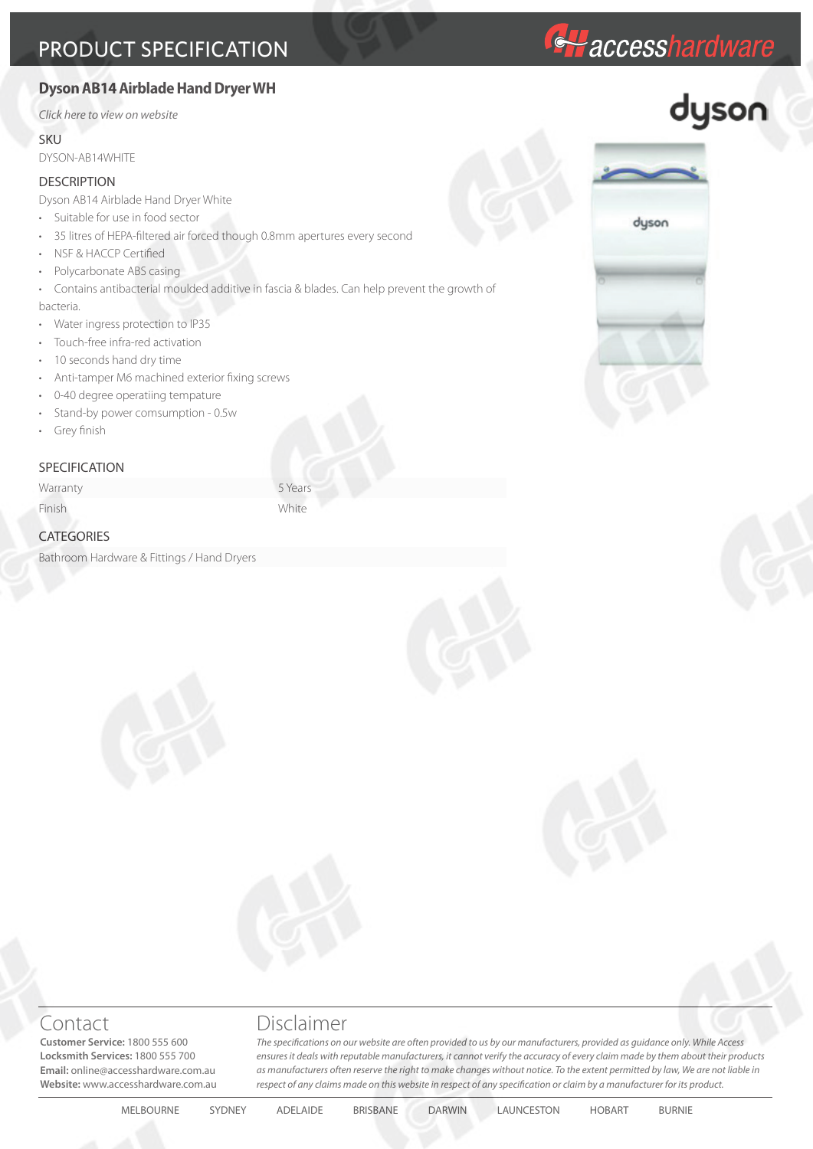# **Dyson AB14 Airblade Hand Dryer WH**

*[Click here to view on website](http://accesshardware.com.au/dyson-ab14-airblade-hand-dryer-wh-2)*

### **SKU**

DYSON-AB14WHITE

## **DESCRIPTION**

Dyson AB14 Airblade Hand Dryer White

- Suitable for use in food sector
- 35 litres of HEPA-filtered air forced though 0.8mm apertures every second
- NSF & HACCP Certified
- Polycarbonate ABS casing

• Contains antibacterial moulded additive in fascia & blades. Can help prevent the growth of

bacteria.

- Water ingress protection to IP35
- Touch-free infra-red activation
- 10 seconds hand dry time
- Anti-tamper M6 machined exterior fixing screws
- 0-40 degree operatiing tempature
- Stand-by power comsumption 0.5w
- Grey finish

## **SPECIFICATION**

Warranty 5 Years

Finish White

## **CATEGORIES**

Bathroom Hardware & Fittings / Hand Dryers



*Haccesshardware* 



**Customer Service:** 1800 555 600 **Locksmith Services:** 1800 555 700 **Email:** online@accesshardware.com.au **Website:** www.accesshardware.com.au

# Contact Disclaimer

*The specifications on our website are often provided to us by our manufacturers, provided as guidance only. While Access ensures it deals with reputable manufacturers, it cannot verify the accuracy of every claim made by them about their products as manufacturers often reserve the right to make changes without notice. To the extent permitted by law, We are not liable in respect of any claims made on this website in respect of any specification or claim by a manufacturer for its product.*